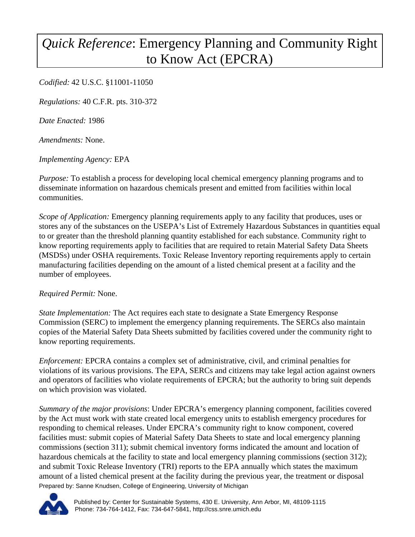## *Quick Reference*: Emergency Planning and Community Right to Know Act (EPCRA)

*Codified:* 42 U.S.C. §11001-11050

*Regulations:* 40 C.F.R. pts. 310-372

*Date Enacted:* 1986

*Amendments:* None.

*Implementing Agency:* EPA

*Purpose:* To establish a process for developing local chemical emergency planning programs and to disseminate information on hazardous chemicals present and emitted from facilities within local communities.

*Scope of Application:* Emergency planning requirements apply to any facility that produces, uses or stores any of the substances on the USEPA's List of Extremely Hazardous Substances in quantities equal to or greater than the threshold planning quantity established for each substance. Community right to know reporting requirements apply to facilities that are required to retain Material Safety Data Sheets (MSDSs) under OSHA requirements. Toxic Release Inventory reporting requirements apply to certain manufacturing facilities depending on the amount of a listed chemical present at a facility and the number of employees.

## *Required Permit:* None.

*State Implementation:* The Act requires each state to designate a State Emergency Response Commission (SERC) to implement the emergency planning requirements. The SERCs also maintain copies of the Material Safety Data Sheets submitted by facilities covered under the community right to know reporting requirements.

*Enforcement:* EPCRA contains a complex set of administrative, civil, and criminal penalties for violations of its various provisions. The EPA, SERCs and citizens may take legal action against owners and operators of facilities who violate requirements of EPCRA; but the authority to bring suit depends on which provision was violated.

Prepared by: Sanne Knudsen, College of Engineering, University of Michigan *Summary of the major provisions*: Under EPCRA's emergency planning component, facilities covered by the Act must work with state created local emergency units to establish emergency procedures for responding to chemical releases. Under EPCRA's community right to know component, covered facilities must: submit copies of Material Safety Data Sheets to state and local emergency planning commissions (section 311); submit chemical inventory forms indicated the amount and location of hazardous chemicals at the facility to state and local emergency planning commissions (section 312); and submit Toxic Release Inventory (TRI) reports to the EPA annually which states the maximum amount of a listed chemical present at the facility during the previous year, the treatment or disposal